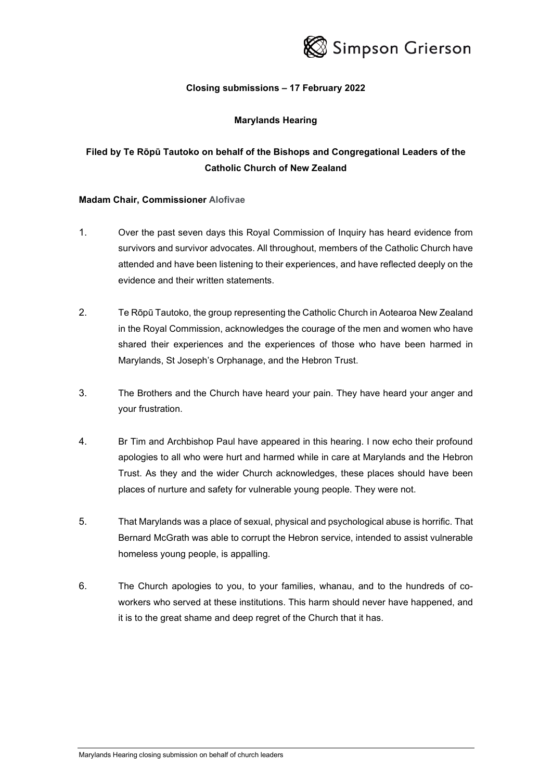

# **Closing submissions – 17 February 2022**

### **Marylands Hearing**

# **Filed by Te Rōpū Tautoko on behalf of the Bishops and Congregational Leaders of the Catholic Church of New Zealand**

### **Madam Chair, Commissioner Alofivae**

- 1. Over the past seven days this Royal Commission of Inquiry has heard evidence from survivors and survivor advocates. All throughout, members of the Catholic Church have attended and have been listening to their experiences, and have reflected deeply on the evidence and their written statements.
- 2. Te Rōpū Tautoko, the group representing the Catholic Church in Aotearoa New Zealand in the Royal Commission, acknowledges the courage of the men and women who have shared their experiences and the experiences of those who have been harmed in Marylands, St Joseph's Orphanage, and the Hebron Trust.
- 3. The Brothers and the Church have heard your pain. They have heard your anger and your frustration.
- 4. Br Tim and Archbishop Paul have appeared in this hearing. I now echo their profound apologies to all who were hurt and harmed while in care at Marylands and the Hebron Trust. As they and the wider Church acknowledges, these places should have been places of nurture and safety for vulnerable young people. They were not.
- 5. That Marylands was a place of sexual, physical and psychological abuse is horrific. That Bernard McGrath was able to corrupt the Hebron service, intended to assist vulnerable homeless young people, is appalling.
- 6. The Church apologies to you, to your families, whanau, and to the hundreds of coworkers who served at these institutions. This harm should never have happened, and it is to the great shame and deep regret of the Church that it has.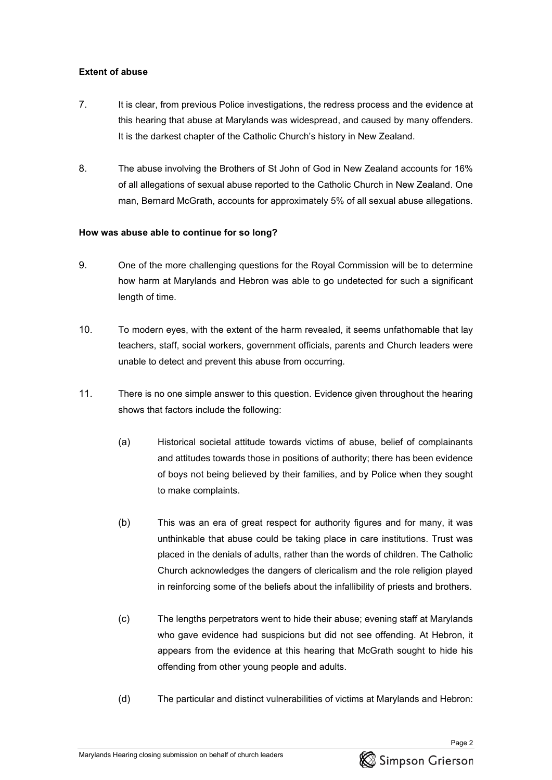# **Extent of abuse**

- 7. It is clear, from previous Police investigations, the redress process and the evidence at this hearing that abuse at Marylands was widespread, and caused by many offenders. It is the darkest chapter of the Catholic Church's history in New Zealand.
- 8. The abuse involving the Brothers of St John of God in New Zealand accounts for 16% of all allegations of sexual abuse reported to the Catholic Church in New Zealand. One man, Bernard McGrath, accounts for approximately 5% of all sexual abuse allegations.

# **How was abuse able to continue for so long?**

- 9. One of the more challenging questions for the Royal Commission will be to determine how harm at Marylands and Hebron was able to go undetected for such a significant length of time.
- 10. To modern eyes, with the extent of the harm revealed, it seems unfathomable that lay teachers, staff, social workers, government officials, parents and Church leaders were unable to detect and prevent this abuse from occurring.
- 11. There is no one simple answer to this question. Evidence given throughout the hearing shows that factors include the following:
	- (a) Historical societal attitude towards victims of abuse, belief of complainants and attitudes towards those in positions of authority; there has been evidence of boys not being believed by their families, and by Police when they sought to make complaints.
	- (b) This was an era of great respect for authority figures and for many, it was unthinkable that abuse could be taking place in care institutions. Trust was placed in the denials of adults, rather than the words of children. The Catholic Church acknowledges the dangers of clericalism and the role religion played in reinforcing some of the beliefs about the infallibility of priests and brothers.
	- (c) The lengths perpetrators went to hide their abuse; evening staff at Marylands who gave evidence had suspicions but did not see offending. At Hebron, it appears from the evidence at this hearing that McGrath sought to hide his offending from other young people and adults.
	- (d) The particular and distinct vulnerabilities of victims at Marylands and Hebron:

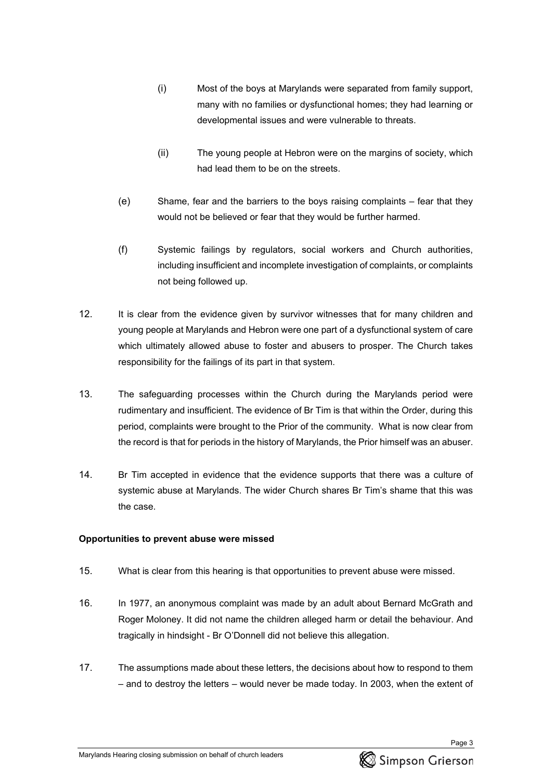- (i) Most of the boys at Marylands were separated from family support, many with no families or dysfunctional homes; they had learning or developmental issues and were vulnerable to threats.
- (ii) The young people at Hebron were on the margins of society, which had lead them to be on the streets.
- (e) Shame, fear and the barriers to the boys raising complaints fear that they would not be believed or fear that they would be further harmed.
- (f) Systemic failings by regulators, social workers and Church authorities, including insufficient and incomplete investigation of complaints, or complaints not being followed up.
- 12. It is clear from the evidence given by survivor witnesses that for many children and young people at Marylands and Hebron were one part of a dysfunctional system of care which ultimately allowed abuse to foster and abusers to prosper. The Church takes responsibility for the failings of its part in that system.
- 13. The safeguarding processes within the Church during the Marylands period were rudimentary and insufficient. The evidence of Br Tim is that within the Order, during this period, complaints were brought to the Prior of the community. What is now clear from the record is that for periods in the history of Marylands, the Prior himself was an abuser.
- 14. Br Tim accepted in evidence that the evidence supports that there was a culture of systemic abuse at Marylands. The wider Church shares Br Tim's shame that this was the case.

# **Opportunities to prevent abuse were missed**

- 15. What is clear from this hearing is that opportunities to prevent abuse were missed.
- 16. In 1977, an anonymous complaint was made by an adult about Bernard McGrath and Roger Moloney. It did not name the children alleged harm or detail the behaviour. And tragically in hindsight - Br O'Donnell did not believe this allegation.
- 17. The assumptions made about these letters, the decisions about how to respond to them – and to destroy the letters – would never be made today. In 2003, when the extent of

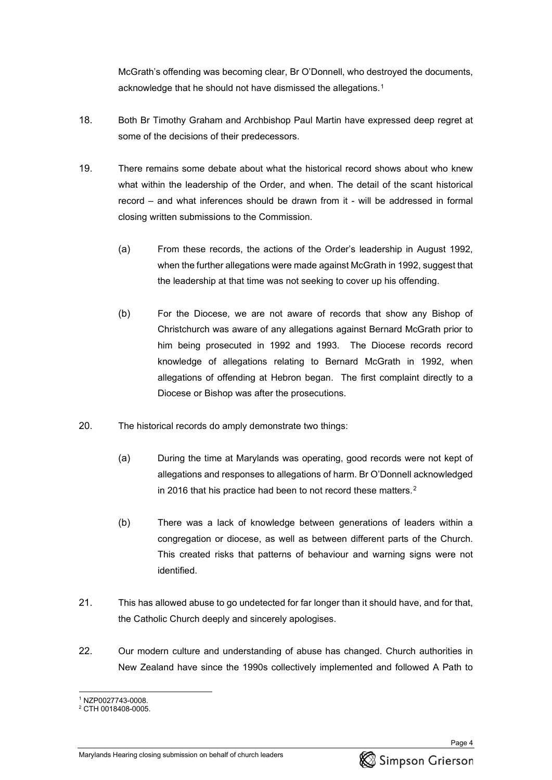McGrath's offending was becoming clear, Br O'Donnell, who destroyed the documents, acknowledge that he should not have dismissed the allegations.[1](#page-3-0)

- 18. Both Br Timothy Graham and Archbishop Paul Martin have expressed deep regret at some of the decisions of their predecessors.
- 19. There remains some debate about what the historical record shows about who knew what within the leadership of the Order, and when. The detail of the scant historical record – and what inferences should be drawn from it - will be addressed in formal closing written submissions to the Commission.
	- (a) From these records, the actions of the Order's leadership in August 1992, when the further allegations were made against McGrath in 1992, suggest that the leadership at that time was not seeking to cover up his offending.
	- (b) For the Diocese, we are not aware of records that show any Bishop of Christchurch was aware of any allegations against Bernard McGrath prior to him being prosecuted in 1992 and 1993. The Diocese records record knowledge of allegations relating to Bernard McGrath in 1992, when allegations of offending at Hebron began. The first complaint directly to a Diocese or Bishop was after the prosecutions.
- 20. The historical records do amply demonstrate two things:
	- (a) During the time at Marylands was operating, good records were not kept of allegations and responses to allegations of harm. Br O'Donnell acknowledged in 2016 that his practice had been to not record these matters.[2](#page-3-1)
	- (b) There was a lack of knowledge between generations of leaders within a congregation or diocese, as well as between different parts of the Church. This created risks that patterns of behaviour and warning signs were not identified.
- 21. This has allowed abuse to go undetected for far longer than it should have, and for that, the Catholic Church deeply and sincerely apologises.
- 22. Our modern culture and understanding of abuse has changed. Church authorities in New Zealand have since the 1990s collectively implemented and followed A Path to



<span id="page-3-1"></span><span id="page-3-0"></span><sup>&</sup>lt;sup>1</sup> NZP0027743-0008.<br><sup>2</sup> CTH 0018408-0005.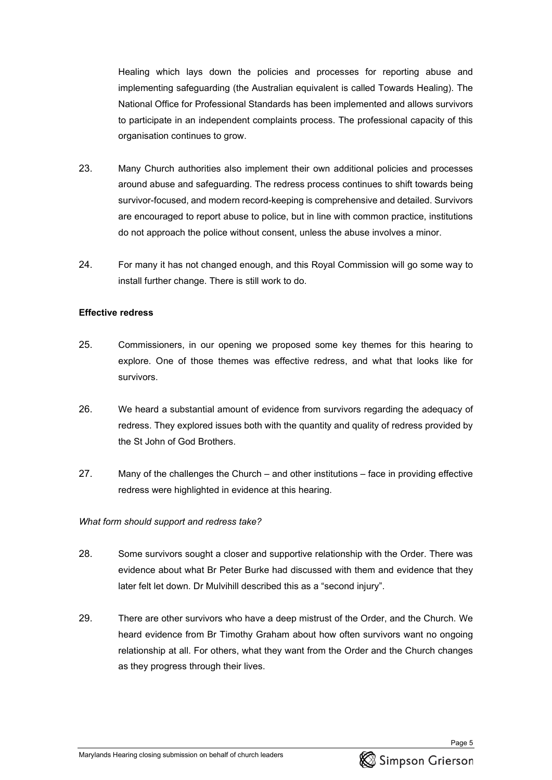Healing which lays down the policies and processes for reporting abuse and implementing safeguarding (the Australian equivalent is called Towards Healing). The National Office for Professional Standards has been implemented and allows survivors to participate in an independent complaints process. The professional capacity of this organisation continues to grow.

- 23. Many Church authorities also implement their own additional policies and processes around abuse and safeguarding. The redress process continues to shift towards being survivor-focused, and modern record-keeping is comprehensive and detailed. Survivors are encouraged to report abuse to police, but in line with common practice, institutions do not approach the police without consent, unless the abuse involves a minor.
- 24. For many it has not changed enough, and this Royal Commission will go some way to install further change. There is still work to do.

#### **Effective redress**

- 25. Commissioners, in our opening we proposed some key themes for this hearing to explore. One of those themes was effective redress, and what that looks like for survivors.
- 26. We heard a substantial amount of evidence from survivors regarding the adequacy of redress. They explored issues both with the quantity and quality of redress provided by the St John of God Brothers.
- 27. Many of the challenges the Church and other institutions face in providing effective redress were highlighted in evidence at this hearing.

### *What form should support and redress take?*

- 28. Some survivors sought a closer and supportive relationship with the Order. There was evidence about what Br Peter Burke had discussed with them and evidence that they later felt let down. Dr Mulvihill described this as a "second injury".
- 29. There are other survivors who have a deep mistrust of the Order, and the Church. We heard evidence from Br Timothy Graham about how often survivors want no ongoing relationship at all. For others, what they want from the Order and the Church changes as they progress through their lives.

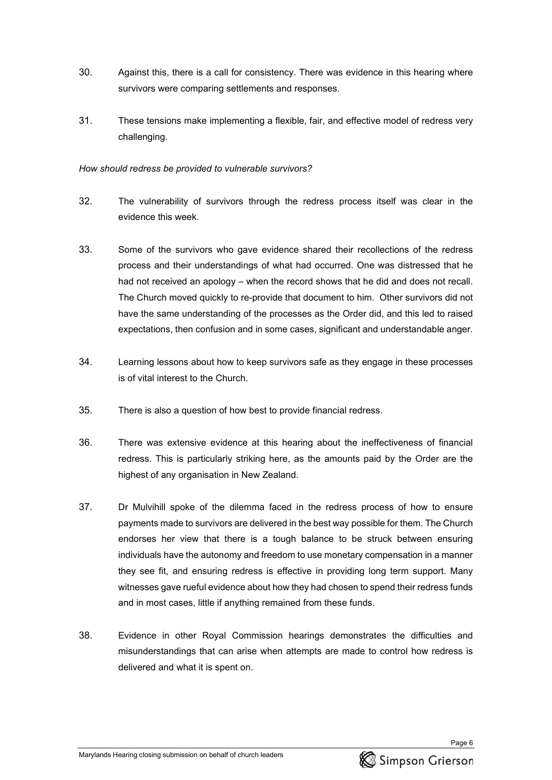- 30. Against this, there is a call for consistency. There was evidence in this hearing where survivors were comparing settlements and responses.
- 31. These tensions make implementing a flexible, fair, and effective model of redress very challenging.

### *How should redress be provided to vulnerable survivors?*

- 32. The vulnerability of survivors through the redress process itself was clear in the evidence this week.
- 33. Some of the survivors who gave evidence shared their recollections of the redress process and their understandings of what had occurred. One was distressed that he had not received an apology – when the record shows that he did and does not recall. The Church moved quickly to re-provide that document to him. Other survivors did not have the same understanding of the processes as the Order did, and this led to raised expectations, then confusion and in some cases, significant and understandable anger.
- 34. Learning lessons about how to keep survivors safe as they engage in these processes is of vital interest to the Church.
- 35. There is also a question of how best to provide financial redress.
- 36. There was extensive evidence at this hearing about the ineffectiveness of financial redress. This is particularly striking here, as the amounts paid by the Order are the highest of any organisation in New Zealand.
- 37. Dr Mulvihill spoke of the dilemma faced in the redress process of how to ensure payments made to survivors are delivered in the best way possible for them. The Church endorses her view that there is a tough balance to be struck between ensuring individuals have the autonomy and freedom to use monetary compensation in a manner they see fit, and ensuring redress is effective in providing long term support. Many witnesses gave rueful evidence about how they had chosen to spend their redress funds and in most cases, little if anything remained from these funds.
- 38. Evidence in other Royal Commission hearings demonstrates the difficulties and misunderstandings that can arise when attempts are made to control how redress is delivered and what it is spent on.

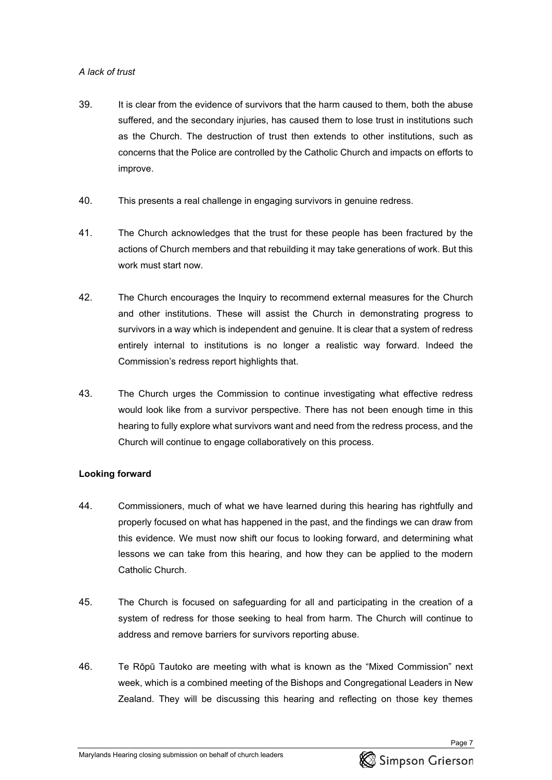# *A lack of trust*

- 39. It is clear from the evidence of survivors that the harm caused to them, both the abuse suffered, and the secondary injuries, has caused them to lose trust in institutions such as the Church. The destruction of trust then extends to other institutions, such as concerns that the Police are controlled by the Catholic Church and impacts on efforts to improve.
- 40. This presents a real challenge in engaging survivors in genuine redress.
- 41. The Church acknowledges that the trust for these people has been fractured by the actions of Church members and that rebuilding it may take generations of work. But this work must start now.
- 42. The Church encourages the Inquiry to recommend external measures for the Church and other institutions. These will assist the Church in demonstrating progress to survivors in a way which is independent and genuine. It is clear that a system of redress entirely internal to institutions is no longer a realistic way forward. Indeed the Commission's redress report highlights that.
- 43. The Church urges the Commission to continue investigating what effective redress would look like from a survivor perspective. There has not been enough time in this hearing to fully explore what survivors want and need from the redress process, and the Church will continue to engage collaboratively on this process.

# **Looking forward**

- 44. Commissioners, much of what we have learned during this hearing has rightfully and properly focused on what has happened in the past, and the findings we can draw from this evidence. We must now shift our focus to looking forward, and determining what lessons we can take from this hearing, and how they can be applied to the modern Catholic Church.
- 45. The Church is focused on safeguarding for all and participating in the creation of a system of redress for those seeking to heal from harm. The Church will continue to address and remove barriers for survivors reporting abuse.
- 46. Te Rōpū Tautoko are meeting with what is known as the "Mixed Commission" next week, which is a combined meeting of the Bishops and Congregational Leaders in New Zealand. They will be discussing this hearing and reflecting on those key themes

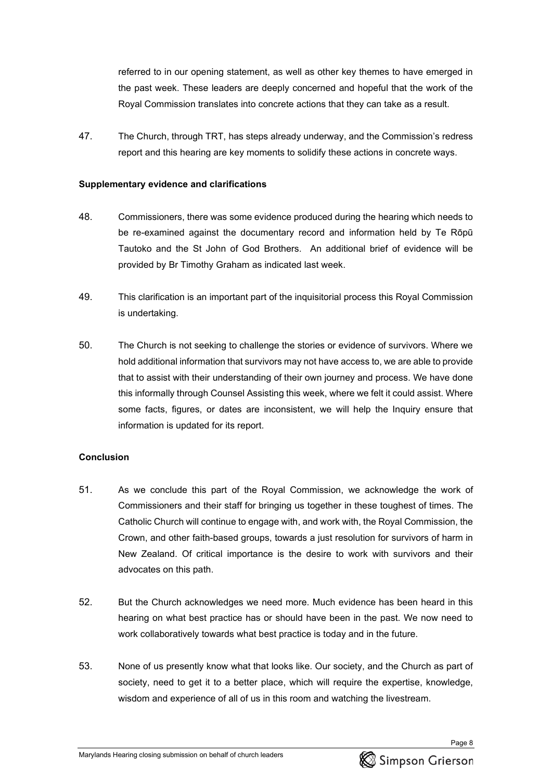referred to in our opening statement, as well as other key themes to have emerged in the past week. These leaders are deeply concerned and hopeful that the work of the Royal Commission translates into concrete actions that they can take as a result.

47. The Church, through TRT, has steps already underway, and the Commission's redress report and this hearing are key moments to solidify these actions in concrete ways.

### **Supplementary evidence and clarifications**

- 48. Commissioners, there was some evidence produced during the hearing which needs to be re-examined against the documentary record and information held by Te Rōpū Tautoko and the St John of God Brothers. An additional brief of evidence will be provided by Br Timothy Graham as indicated last week.
- 49. This clarification is an important part of the inquisitorial process this Royal Commission is undertaking.
- 50. The Church is not seeking to challenge the stories or evidence of survivors. Where we hold additional information that survivors may not have access to, we are able to provide that to assist with their understanding of their own journey and process. We have done this informally through Counsel Assisting this week, where we felt it could assist. Where some facts, figures, or dates are inconsistent, we will help the Inquiry ensure that information is updated for its report.

# **Conclusion**

- 51. As we conclude this part of the Royal Commission, we acknowledge the work of Commissioners and their staff for bringing us together in these toughest of times. The Catholic Church will continue to engage with, and work with, the Royal Commission, the Crown, and other faith-based groups, towards a just resolution for survivors of harm in New Zealand. Of critical importance is the desire to work with survivors and their advocates on this path.
- 52. But the Church acknowledges we need more. Much evidence has been heard in this hearing on what best practice has or should have been in the past. We now need to work collaboratively towards what best practice is today and in the future.
- 53. None of us presently know what that looks like. Our society, and the Church as part of society, need to get it to a better place, which will require the expertise, knowledge, wisdom and experience of all of us in this room and watching the livestream.